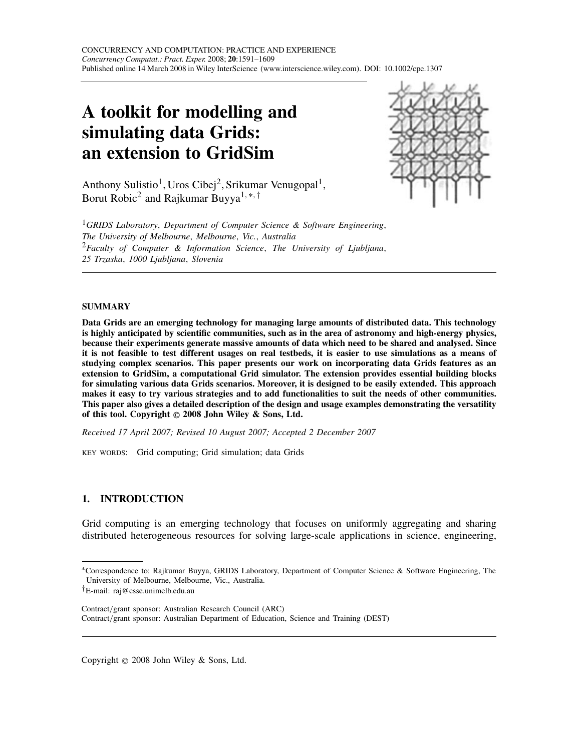# **A toolkit for modelling and simulating data Grids: an extension to GridSim**

Anthony Sulistio<sup>1</sup>, Uros Cibej<sup>2</sup>, Srikumar Venugopal<sup>1</sup>, Borut Robic2 and Rajkumar Buyya1*,*∗*, †*

<sup>1</sup>*GRIDS Laboratory, Department of Computer Science & Software Engineering, The University of Melbourne, Melbourne, Vic., Australia* <sup>2</sup>*Faculty of Computer & Information Science, The University of Ljubljana, 25 Trzaska, 1000 Ljubljana, Slovenia*



#### **SUMMARY**

**Data Grids are an emerging technology for managing large amounts of distributed data. This technology is highly anticipated by scientific communities, such as in the area of astronomy and high-energy physics, because their experiments generate massive amounts of data which need to be shared and analysed. Since it is not feasible to test different usages on real testbeds, it is easier to use simulations as a means of studying complex scenarios. This paper presents our work on incorporating data Grids features as an extension to GridSim, a computational Grid simulator. The extension provides essential building blocks for simulating various data Grids scenarios. Moreover, it is designed to be easily extended. This approach makes it easy to try various strategies and to add functionalities to suit the needs of other communities. This paper also gives a detailed description of the design and usage examples demonstrating the versatility of this tool. Copyright © 2008 John Wiley & Sons, Ltd.**

*Received 17 April 2007; Revised 10 August 2007; Accepted 2 December 2007*

KEY WORDS: Grid computing; Grid simulation; data Grids

## **1. INTRODUCTION**

Grid computing is an emerging technology that focuses on uniformly aggregating and sharing distributed heterogeneous resources for solving large-scale applications in science, engineering,

Contract*/*grant sponsor: Australian Research Council (ARC) Contract*/*grant sponsor: Australian Department of Education, Science and Training (DEST)

Copyright  $\odot$  2008 John Wiley & Sons, Ltd.

<sup>∗</sup>Correspondence to: Rajkumar Buyya, GRIDS Laboratory, Department of Computer Science & Software Engineering, The University of Melbourne, Melbourne, Vic., Australia.

*<sup>†</sup>*E-mail: raj@csse.unimelb.edu.au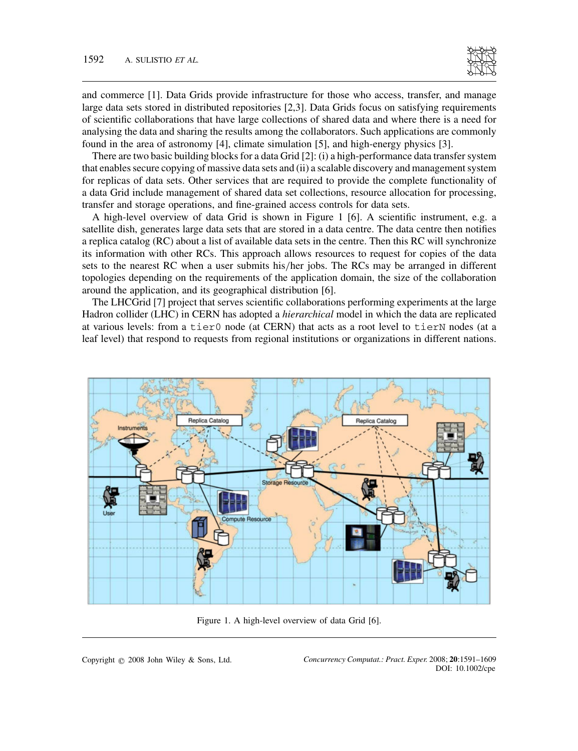and commerce [1]. Data Grids provide infrastructure for those who access, transfer, and manage large data sets stored in distributed repositories [2,3]. Data Grids focus on satisfying requirements of scientific collaborations that have large collections of shared data and where there is a need for analysing the data and sharing the results among the collaborators. Such applications are commonly found in the area of astronomy [4], climate simulation [5], and high-energy physics [3].

There are two basic building blocks for a data Grid [2]: (i) a high-performance data transfer system that enables secure copying of massive data sets and (ii) a scalable discovery and management system for replicas of data sets. Other services that are required to provide the complete functionality of a data Grid include management of shared data set collections, resource allocation for processing, transfer and storage operations, and fine-grained access controls for data sets.

A high-level overview of data Grid is shown in Figure 1 [6]. A scientific instrument, e.g. a satellite dish, generates large data sets that are stored in a data centre. The data centre then notifies a replica catalog (RC) about a list of available data sets in the centre. Then this RC will synchronize its information with other RCs. This approach allows resources to request for copies of the data sets to the nearest RC when a user submits his*/*her jobs. The RCs may be arranged in different topologies depending on the requirements of the application domain, the size of the collaboration around the application, and its geographical distribution [6].

The LHCGrid [7] project that serves scientific collaborations performing experiments at the large Hadron collider (LHC) in CERN has adopted a *hierarchical* model in which the data are replicated at various levels: from a tier0 node (at CERN) that acts as a root level to tierN nodes (at a leaf level) that respond to requests from regional institutions or organizations in different nations.



Figure 1. A high-level overview of data Grid [6].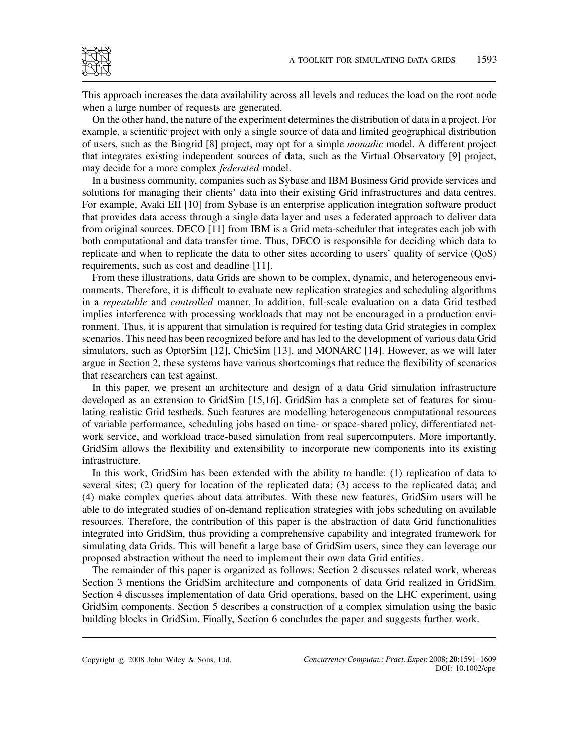

This approach increases the data availability across all levels and reduces the load on the root node when a large number of requests are generated.

On the other hand, the nature of the experiment determines the distribution of data in a project. For example, a scientific project with only a single source of data and limited geographical distribution of users, such as the Biogrid [8] project, may opt for a simple *monadic* model. A different project that integrates existing independent sources of data, such as the Virtual Observatory [9] project, may decide for a more complex *federated* model.

In a business community, companies such as Sybase and IBM Business Grid provide services and solutions for managing their clients' data into their existing Grid infrastructures and data centres. For example, Avaki EII [10] from Sybase is an enterprise application integration software product that provides data access through a single data layer and uses a federated approach to deliver data from original sources. DECO [11] from IBM is a Grid meta-scheduler that integrates each job with both computational and data transfer time. Thus, DECO is responsible for deciding which data to replicate and when to replicate the data to other sites according to users' quality of service (QoS) requirements, such as cost and deadline [11].

From these illustrations, data Grids are shown to be complex, dynamic, and heterogeneous environments. Therefore, it is difficult to evaluate new replication strategies and scheduling algorithms in a *repeatable* and *controlled* manner. In addition, full-scale evaluation on a data Grid testbed implies interference with processing workloads that may not be encouraged in a production environment. Thus, it is apparent that simulation is required for testing data Grid strategies in complex scenarios. This need has been recognized before and has led to the development of various data Grid simulators, such as OptorSim [12], ChicSim [13], and MONARC [14]. However, as we will later argue in Section 2, these systems have various shortcomings that reduce the flexibility of scenarios that researchers can test against.

In this paper, we present an architecture and design of a data Grid simulation infrastructure developed as an extension to GridSim [15,16]. GridSim has a complete set of features for simulating realistic Grid testbeds. Such features are modelling heterogeneous computational resources of variable performance, scheduling jobs based on time- or space-shared policy, differentiated network service, and workload trace-based simulation from real supercomputers. More importantly, GridSim allows the flexibility and extensibility to incorporate new components into its existing infrastructure.

In this work, GridSim has been extended with the ability to handle: (1) replication of data to several sites; (2) query for location of the replicated data; (3) access to the replicated data; and (4) make complex queries about data attributes. With these new features, GridSim users will be able to do integrated studies of on-demand replication strategies with jobs scheduling on available resources. Therefore, the contribution of this paper is the abstraction of data Grid functionalities integrated into GridSim, thus providing a comprehensive capability and integrated framework for simulating data Grids. This will benefit a large base of GridSim users, since they can leverage our proposed abstraction without the need to implement their own data Grid entities.

The remainder of this paper is organized as follows: Section 2 discusses related work, whereas Section 3 mentions the GridSim architecture and components of data Grid realized in GridSim. Section 4 discusses implementation of data Grid operations, based on the LHC experiment, using GridSim components. Section 5 describes a construction of a complex simulation using the basic building blocks in GridSim. Finally, Section 6 concludes the paper and suggests further work.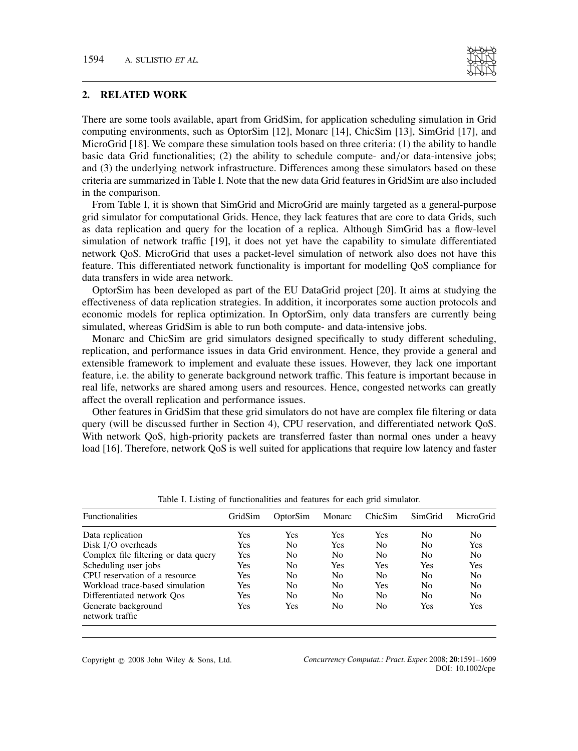

#### **2. RELATED WORK**

There are some tools available, apart from GridSim, for application scheduling simulation in Grid computing environments, such as OptorSim [12], Monarc [14], ChicSim [13], SimGrid [17], and MicroGrid [18]. We compare these simulation tools based on three criteria: (1) the ability to handle basic data Grid functionalities; (2) the ability to schedule compute- and*/*or data-intensive jobs; and (3) the underlying network infrastructure. Differences among these simulators based on these criteria are summarized in Table I. Note that the new data Grid features in GridSim are also included in the comparison.

From Table I, it is shown that SimGrid and MicroGrid are mainly targeted as a general-purpose grid simulator for computational Grids. Hence, they lack features that are core to data Grids, such as data replication and query for the location of a replica. Although SimGrid has a flow-level simulation of network traffic [19], it does not yet have the capability to simulate differentiated network QoS. MicroGrid that uses a packet-level simulation of network also does not have this feature. This differentiated network functionality is important for modelling QoS compliance for data transfers in wide area network.

OptorSim has been developed as part of the EU DataGrid project [20]. It aims at studying the effectiveness of data replication strategies. In addition, it incorporates some auction protocols and economic models for replica optimization. In OptorSim, only data transfers are currently being simulated, whereas GridSim is able to run both compute- and data-intensive jobs.

Monarc and ChicSim are grid simulators designed specifically to study different scheduling, replication, and performance issues in data Grid environment. Hence, they provide a general and extensible framework to implement and evaluate these issues. However, they lack one important feature, i.e. the ability to generate background network traffic. This feature is important because in real life, networks are shared among users and resources. Hence, congested networks can greatly affect the overall replication and performance issues.

Other features in GridSim that these grid simulators do not have are complex file filtering or data query (will be discussed further in Section 4), CPU reservation, and differentiated network QoS. With network QoS, high-priority packets are transferred faster than normal ones under a heavy load [16]. Therefore, network QoS is well suited for applications that require low latency and faster

| <b>Functionalities</b>                 | GridSim | OptorSim | Monarc | ChicSim        | SimGrid        | MicroGrid      |
|----------------------------------------|---------|----------|--------|----------------|----------------|----------------|
| Data replication                       | Yes     | Yes      | Yes    | Yes            | N <sub>0</sub> | No             |
| Disk I/O overheads                     | Yes     | No       | Yes    | No             | N <sub>0</sub> | Yes            |
| Complex file filtering or data query   | Yes     | No       | No     | N <sub>0</sub> | N <sub>0</sub> | No             |
| Scheduling user jobs                   | Yes     | No       | Yes    | <b>Yes</b>     | Yes            | Yes            |
| CPU reservation of a resource          | Yes     | No       | No     | No             | N <sub>0</sub> | N <sub>0</sub> |
| Workload trace-based simulation        | Yes     | No       | No     | <b>Yes</b>     | N <sub>0</sub> | N <sub>0</sub> |
| Differentiated network Oos             | Yes     | No       | No     | No             | N <sub>0</sub> | No             |
| Generate background<br>network traffic | Yes     | Yes      | No     | No             | Yes            | Yes            |

Table I. Listing of functionalities and features for each grid simulator.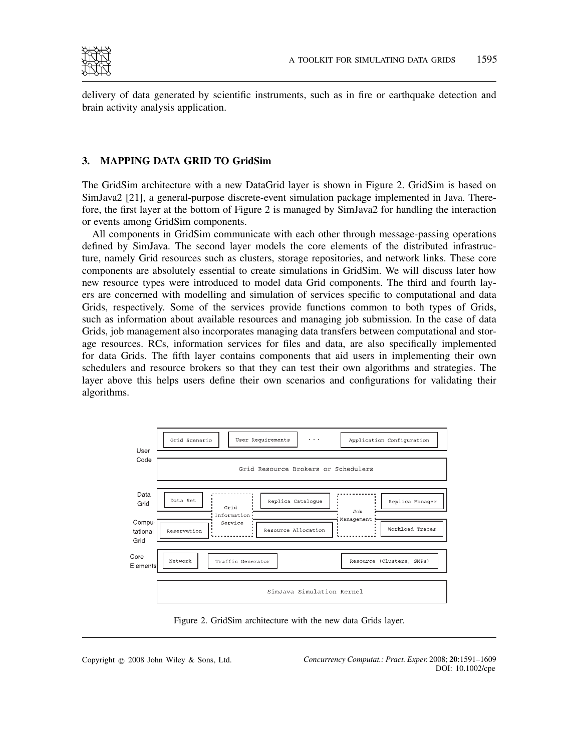

delivery of data generated by scientific instruments, such as in fire or earthquake detection and brain activity analysis application.

## **3. MAPPING DATA GRID TO GridSim**

The GridSim architecture with a new DataGrid layer is shown in Figure 2. GridSim is based on SimJava2 [21], a general-purpose discrete-event simulation package implemented in Java. Therefore, the first layer at the bottom of Figure 2 is managed by SimJava2 for handling the interaction or events among GridSim components.

All components in GridSim communicate with each other through message-passing operations defined by SimJava. The second layer models the core elements of the distributed infrastructure, namely Grid resources such as clusters, storage repositories, and network links. These core components are absolutely essential to create simulations in GridSim. We will discuss later how new resource types were introduced to model data Grid components. The third and fourth layers are concerned with modelling and simulation of services specific to computational and data Grids, respectively. Some of the services provide functions common to both types of Grids, such as information about available resources and managing job submission. In the case of data Grids, job management also incorporates managing data transfers between computational and storage resources. RCs, information services for files and data, are also specifically implemented for data Grids. The fifth layer contains components that aid users in implementing their own schedulers and resource brokers so that they can test their own algorithms and strategies. The layer above this helps users define their own scenarios and configurations for validating their algorithms.



Figure 2. GridSim architecture with the new data Grids layer.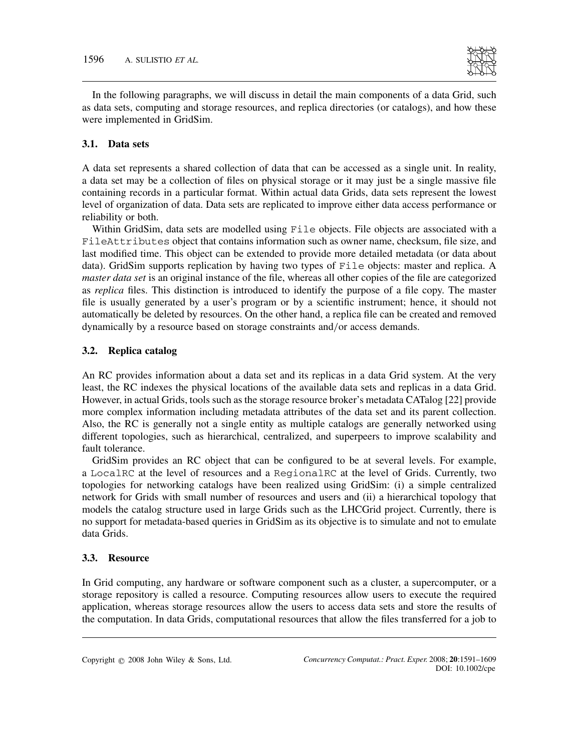

In the following paragraphs, we will discuss in detail the main components of a data Grid, such as data sets, computing and storage resources, and replica directories (or catalogs), and how these were implemented in GridSim.

## **3.1. Data sets**

A data set represents a shared collection of data that can be accessed as a single unit. In reality, a data set may be a collection of files on physical storage or it may just be a single massive file containing records in a particular format. Within actual data Grids, data sets represent the lowest level of organization of data. Data sets are replicated to improve either data access performance or reliability or both.

Within GridSim, data sets are modelled using File objects. File objects are associated with a FileAttributes object that contains information such as owner name, checksum, file size, and last modified time. This object can be extended to provide more detailed metadata (or data about data). GridSim supports replication by having two types of File objects: master and replica. A *master data set* is an original instance of the file, whereas all other copies of the file are categorized as *replica* files. This distinction is introduced to identify the purpose of a file copy. The master file is usually generated by a user's program or by a scientific instrument; hence, it should not automatically be deleted by resources. On the other hand, a replica file can be created and removed dynamically by a resource based on storage constraints and*/*or access demands.

# **3.2. Replica catalog**

An RC provides information about a data set and its replicas in a data Grid system. At the very least, the RC indexes the physical locations of the available data sets and replicas in a data Grid. However, in actual Grids, tools such as the storage resource broker's metadata CATalog [22] provide more complex information including metadata attributes of the data set and its parent collection. Also, the RC is generally not a single entity as multiple catalogs are generally networked using different topologies, such as hierarchical, centralized, and superpeers to improve scalability and fault tolerance.

GridSim provides an RC object that can be configured to be at several levels. For example, a LocalRC at the level of resources and a RegionalRC at the level of Grids. Currently, two topologies for networking catalogs have been realized using GridSim: (i) a simple centralized network for Grids with small number of resources and users and (ii) a hierarchical topology that models the catalog structure used in large Grids such as the LHCGrid project. Currently, there is no support for metadata-based queries in GridSim as its objective is to simulate and not to emulate data Grids.

## **3.3. Resource**

In Grid computing, any hardware or software component such as a cluster, a supercomputer, or a storage repository is called a resource. Computing resources allow users to execute the required application, whereas storage resources allow the users to access data sets and store the results of the computation. In data Grids, computational resources that allow the files transferred for a job to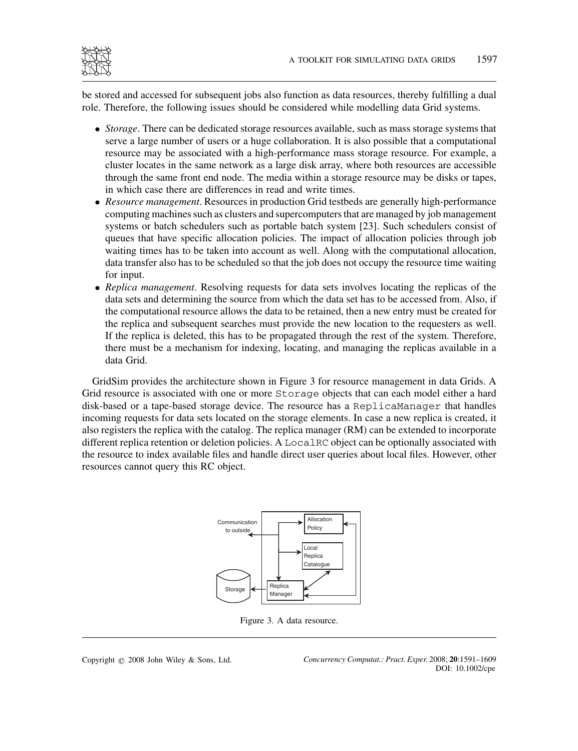

be stored and accessed for subsequent jobs also function as data resources, thereby fulfilling a dual role. Therefore, the following issues should be considered while modelling data Grid systems.

- *Storage*. There can be dedicated storage resources available, such as mass storage systems that serve a large number of users or a huge collaboration. It is also possible that a computational resource may be associated with a high-performance mass storage resource. For example, a cluster locates in the same network as a large disk array, where both resources are accessible through the same front end node. The media within a storage resource may be disks or tapes, in which case there are differences in read and write times.
- *Resource management*. Resources in production Grid testbeds are generally high-performance computing machines such as clusters and supercomputers that are managed by job management systems or batch schedulers such as portable batch system [23]. Such schedulers consist of queues that have specific allocation policies. The impact of allocation policies through job waiting times has to be taken into account as well. Along with the computational allocation, data transfer also has to be scheduled so that the job does not occupy the resource time waiting for input.
- *Replica management*. Resolving requests for data sets involves locating the replicas of the data sets and determining the source from which the data set has to be accessed from. Also, if the computational resource allows the data to be retained, then a new entry must be created for the replica and subsequent searches must provide the new location to the requesters as well. If the replica is deleted, this has to be propagated through the rest of the system. Therefore, there must be a mechanism for indexing, locating, and managing the replicas available in a data Grid.

GridSim provides the architecture shown in Figure 3 for resource management in data Grids. A Grid resource is associated with one or more Storage objects that can each model either a hard disk-based or a tape-based storage device. The resource has a ReplicaManager that handles incoming requests for data sets located on the storage elements. In case a new replica is created, it also registers the replica with the catalog. The replica manager (RM) can be extended to incorporate different replica retention or deletion policies. A LocalRC object can be optionally associated with the resource to index available files and handle direct user queries about local files. However, other resources cannot query this RC object.



Figure 3. A data resource.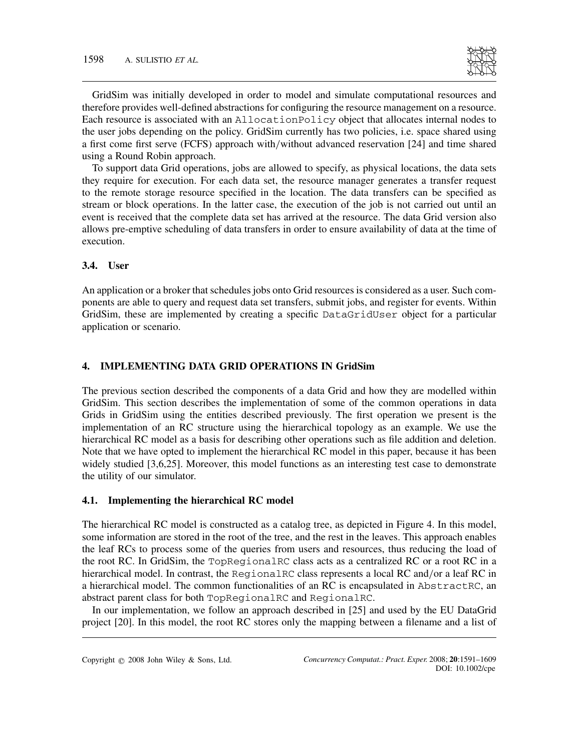

GridSim was initially developed in order to model and simulate computational resources and therefore provides well-defined abstractions for configuring the resource management on a resource. Each resource is associated with an AllocationPolicy object that allocates internal nodes to the user jobs depending on the policy. GridSim currently has two policies, i.e. space shared using a first come first serve (FCFS) approach with*/*without advanced reservation [24] and time shared using a Round Robin approach.

To support data Grid operations, jobs are allowed to specify, as physical locations, the data sets they require for execution. For each data set, the resource manager generates a transfer request to the remote storage resource specified in the location. The data transfers can be specified as stream or block operations. In the latter case, the execution of the job is not carried out until an event is received that the complete data set has arrived at the resource. The data Grid version also allows pre-emptive scheduling of data transfers in order to ensure availability of data at the time of execution.

#### **3.4. User**

An application or a broker that schedules jobs onto Grid resources is considered as a user. Such components are able to query and request data set transfers, submit jobs, and register for events. Within GridSim, these are implemented by creating a specific DataGridUser object for a particular application or scenario.

## **4. IMPLEMENTING DATA GRID OPERATIONS IN GridSim**

The previous section described the components of a data Grid and how they are modelled within GridSim. This section describes the implementation of some of the common operations in data Grids in GridSim using the entities described previously. The first operation we present is the implementation of an RC structure using the hierarchical topology as an example. We use the hierarchical RC model as a basis for describing other operations such as file addition and deletion. Note that we have opted to implement the hierarchical RC model in this paper, because it has been widely studied [3,6,25]. Moreover, this model functions as an interesting test case to demonstrate the utility of our simulator.

#### **4.1. Implementing the hierarchical RC model**

The hierarchical RC model is constructed as a catalog tree, as depicted in Figure 4. In this model, some information are stored in the root of the tree, and the rest in the leaves. This approach enables the leaf RCs to process some of the queries from users and resources, thus reducing the load of the root RC. In GridSim, the TopRegionalRC class acts as a centralized RC or a root RC in a hierarchical model. In contrast, the RegionalRC class represents a local RC and*/*or a leaf RC in a hierarchical model. The common functionalities of an RC is encapsulated in AbstractRC, an abstract parent class for both TopRegionalRC and RegionalRC.

In our implementation, we follow an approach described in [25] and used by the EU DataGrid project [20]. In this model, the root RC stores only the mapping between a filename and a list of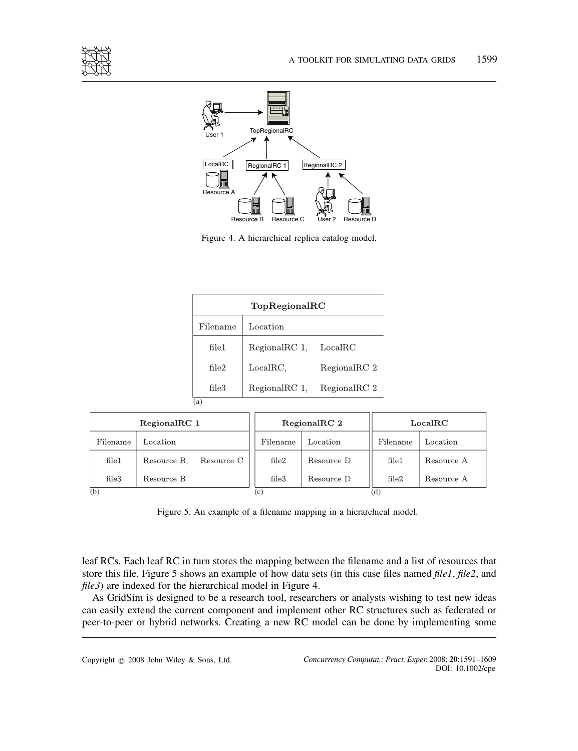



Figure 4. A hierarchical replica catalog model.

| TopRegionalRC |               |              |  |  |  |
|---------------|---------------|--------------|--|--|--|
| Filename      | Location      |              |  |  |  |
| file1         | RegionalRC 1. | LocalRC      |  |  |  |
| file2         | $LocalRC$ .   | RegionalRC 2 |  |  |  |
| file3         | RegionalRC 1, | RegionalRC 2 |  |  |  |
| a             |               |              |  |  |  |

| RegionalRC 1 |                           |                     | RegionalRC 2 | LocalRC  |            |  |
|--------------|---------------------------|---------------------|--------------|----------|------------|--|
| Filename     | Location                  | Filename            | Location     | Filename | Location   |  |
| file1        | Resource B.<br>Resource C | file2               | Resource D   | file1    | Resource A |  |
| file3        | Resource B                | file3               | Resource D   | file2    | Resource A |  |
| (b)          |                           | $\lfloor c \rfloor$ |              | d.       |            |  |

Figure 5. An example of a filename mapping in a hierarchical model.

leaf RCs. Each leaf RC in turn stores the mapping between the filename and a list of resources that store this file. Figure 5 shows an example of how data sets (in this case files named *file1*, *file2*, and *file3*) are indexed for the hierarchical model in Figure 4.

As GridSim is designed to be a research tool, researchers or analysts wishing to test new ideas can easily extend the current component and implement other RC structures such as federated or peer-to-peer or hybrid networks. Creating a new RC model can be done by implementing some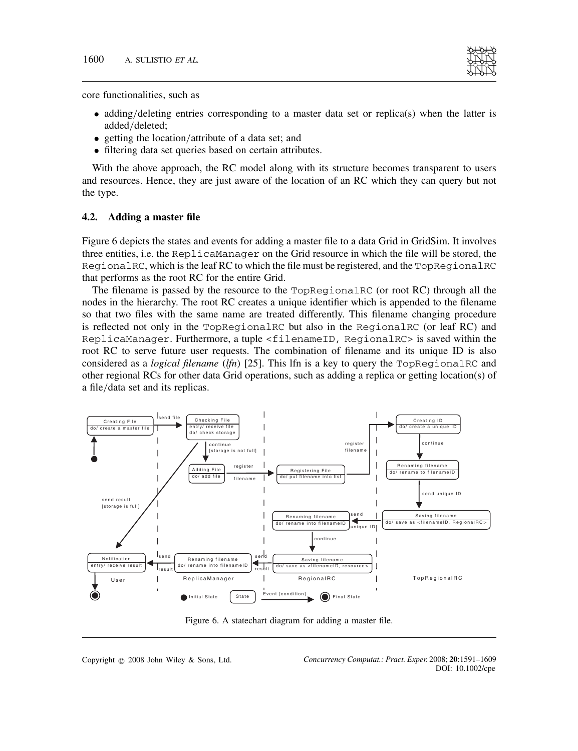

core functionalities, such as

- adding/deleting entries corresponding to a master data set or replica(s) when the latter is added*/*deleted;
- getting the location*/*attribute of a data set; and
- filtering data set queries based on certain attributes.

With the above approach, the RC model along with its structure becomes transparent to users and resources. Hence, they are just aware of the location of an RC which they can query but not the type.

## **4.2. Adding a master file**

Figure 6 depicts the states and events for adding a master file to a data Grid in GridSim. It involves three entities, i.e. the ReplicaManager on the Grid resource in which the file will be stored, the RegionalRC, which is the leaf RC to which the file must be registered, and the TopRegionalRC that performs as the root RC for the entire Grid.

The filename is passed by the resource to the TopRegionalRC (or root RC) through all the nodes in the hierarchy. The root RC creates a unique identifier which is appended to the filename so that two files with the same name are treated differently. This filename changing procedure is reflected not only in the TopRegionalRC but also in the RegionalRC (or leaf RC) and ReplicaManager. Furthermore, a tuple <filenameID, RegionalRC> is saved within the root RC to serve future user requests. The combination of filename and its unique ID is also considered as a *logical filename (lfn)* [25]. This lfn is a key to query the TopRegionalRC and other regional RCs for other data Grid operations, such as adding a replica or getting location(s) of a file*/*data set and its replicas.



Figure 6. A statechart diagram for adding a master file.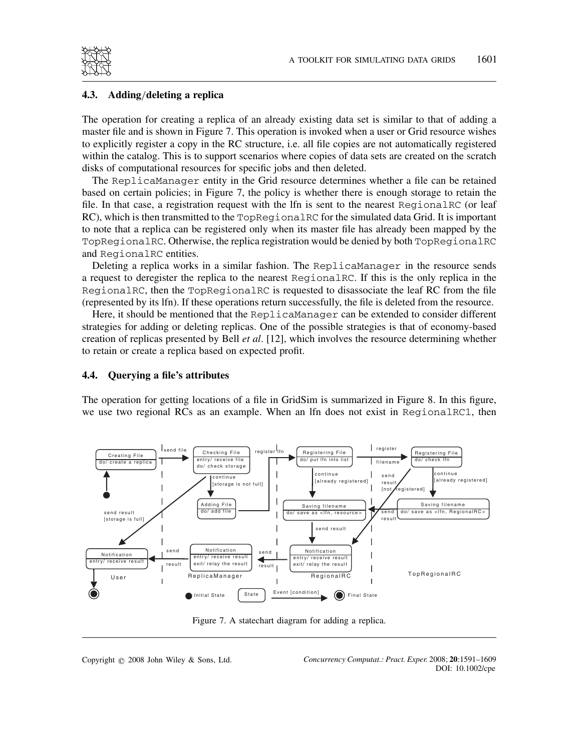

## **4.3. Adding***/***deleting a replica**

The operation for creating a replica of an already existing data set is similar to that of adding a master file and is shown in Figure 7. This operation is invoked when a user or Grid resource wishes to explicitly register a copy in the RC structure, i.e. all file copies are not automatically registered within the catalog. This is to support scenarios where copies of data sets are created on the scratch disks of computational resources for specific jobs and then deleted.

The ReplicaManager entity in the Grid resource determines whether a file can be retained based on certain policies; in Figure 7, the policy is whether there is enough storage to retain the file. In that case, a registration request with the lfn is sent to the nearest RegionalRC (or leaf RC), which is then transmitted to the TopRegionalRC for the simulated data Grid. It is important to note that a replica can be registered only when its master file has already been mapped by the TopRegionalRC. Otherwise, the replica registration would be denied by both TopRegionalRC and RegionalRC entities.

Deleting a replica works in a similar fashion. The ReplicaManager in the resource sends a request to deregister the replica to the nearest RegionalRC. If this is the only replica in the RegionalRC, then the TopRegionalRC is requested to disassociate the leaf RC from the file (represented by its lfn). If these operations return successfully, the file is deleted from the resource.

Here, it should be mentioned that the ReplicaManager can be extended to consider different strategies for adding or deleting replicas. One of the possible strategies is that of economy-based creation of replicas presented by Bell *et al*. [12], which involves the resource determining whether to retain or create a replica based on expected profit.

#### **4.4. Querying a file's attributes**

The operation for getting locations of a file in GridSim is summarized in Figure 8. In this figure, we use two regional RCs as an example. When an lfn does not exist in RegionalRC1, then



Figure 7. A statechart diagram for adding a replica.

Copyright q 2008 John Wiley & Sons, Ltd. *Concurrency Computat.: Pract. Exper.* 2008; **20**:1591–1609 DOI: 10.1002/cpe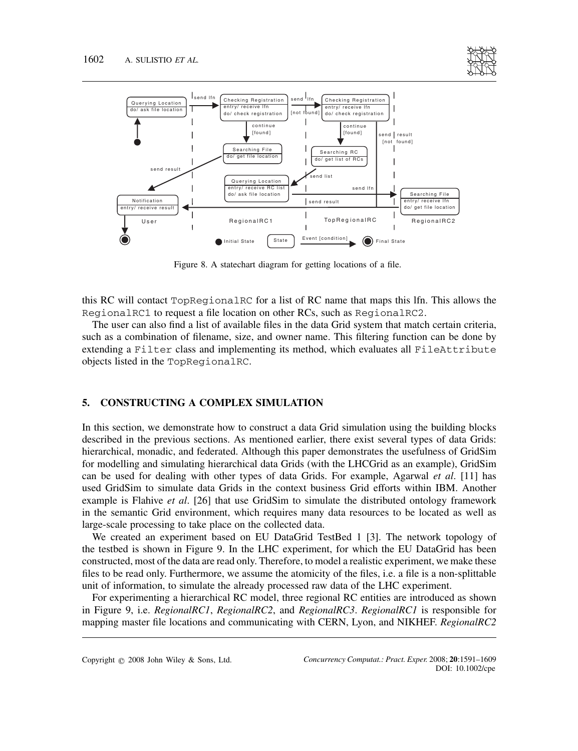



Figure 8. A statechart diagram for getting locations of a file.

this RC will contact TopRegionalRC for a list of RC name that maps this lfn. This allows the RegionalRC1 to request a file location on other RCs, such as RegionalRC2.

The user can also find a list of available files in the data Grid system that match certain criteria, such as a combination of filename, size, and owner name. This filtering function can be done by extending a Filter class and implementing its method, which evaluates all FileAttribute objects listed in the TopRegionalRC.

## **5. CONSTRUCTING A COMPLEX SIMULATION**

In this section, we demonstrate how to construct a data Grid simulation using the building blocks described in the previous sections. As mentioned earlier, there exist several types of data Grids: hierarchical, monadic, and federated. Although this paper demonstrates the usefulness of GridSim for modelling and simulating hierarchical data Grids (with the LHCGrid as an example), GridSim can be used for dealing with other types of data Grids. For example, Agarwal *et al*. [11] has used GridSim to simulate data Grids in the context business Grid efforts within IBM. Another example is Flahive *et al*. [26] that use GridSim to simulate the distributed ontology framework in the semantic Grid environment, which requires many data resources to be located as well as large-scale processing to take place on the collected data.

We created an experiment based on EU DataGrid TestBed 1 [3]. The network topology of the testbed is shown in Figure 9. In the LHC experiment, for which the EU DataGrid has been constructed, most of the data are read only. Therefore, to model a realistic experiment, we make these files to be read only. Furthermore, we assume the atomicity of the files, i.e. a file is a non-splittable unit of information, to simulate the already processed raw data of the LHC experiment.

For experimenting a hierarchical RC model, three regional RC entities are introduced as shown in Figure 9, i.e. *RegionalRC1*, *RegionalRC2*, and *RegionalRC3*. *RegionalRC1* is responsible for mapping master file locations and communicating with CERN, Lyon, and NIKHEF. *RegionalRC2*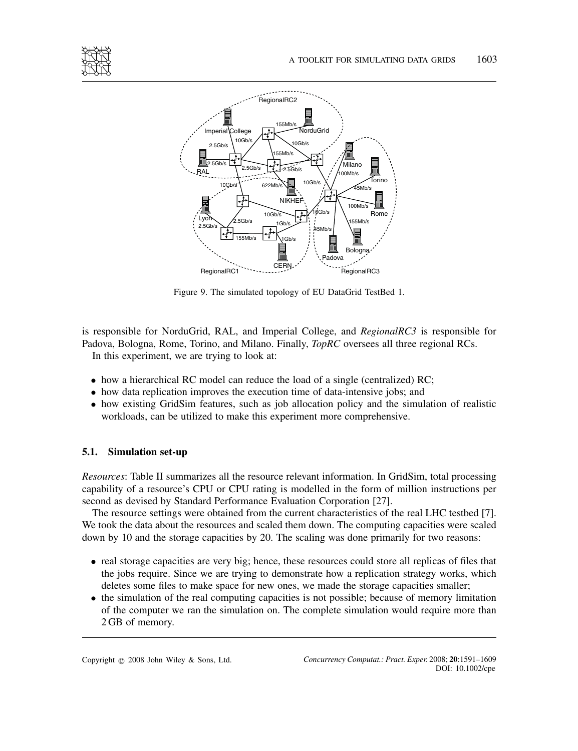

Figure 9. The simulated topology of EU DataGrid TestBed 1.

is responsible for NorduGrid, RAL, and Imperial College, and *RegionalRC3* is responsible for Padova, Bologna, Rome, Torino, and Milano. Finally, *TopRC* oversees all three regional RCs.

In this experiment, we are trying to look at:

- how a hierarchical RC model can reduce the load of a single (centralized) RC;
- how data replication improves the execution time of data-intensive jobs; and
- how existing GridSim features, such as job allocation policy and the simulation of realistic workloads, can be utilized to make this experiment more comprehensive.

## **5.1. Simulation set-up**

*Resources*: Table II summarizes all the resource relevant information. In GridSim, total processing capability of a resource's CPU or CPU rating is modelled in the form of million instructions per second as devised by Standard Performance Evaluation Corporation [27].

The resource settings were obtained from the current characteristics of the real LHC testbed [7]. We took the data about the resources and scaled them down. The computing capacities were scaled down by 10 and the storage capacities by 20. The scaling was done primarily for two reasons:

- real storage capacities are very big; hence, these resources could store all replicas of files that the jobs require. Since we are trying to demonstrate how a replication strategy works, which deletes some files to make space for new ones, we made the storage capacities smaller;
- the simulation of the real computing capacities is not possible; because of memory limitation of the computer we ran the simulation on. The complete simulation would require more than 2 GB of memory.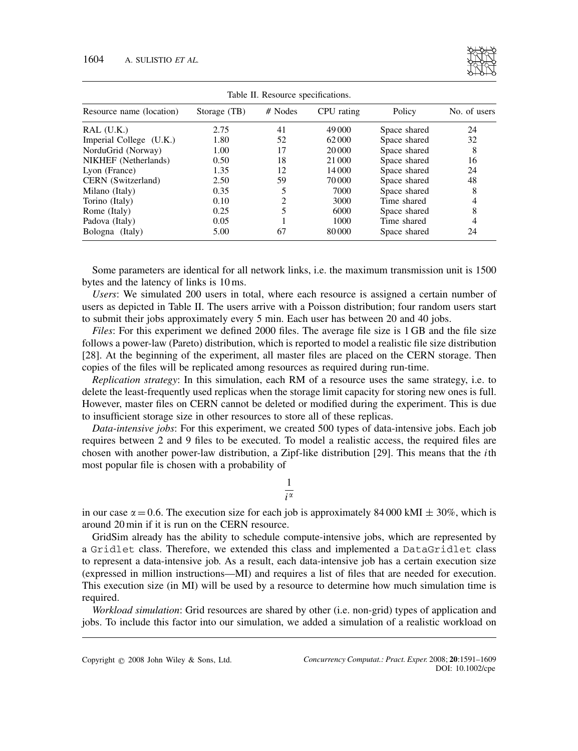

| Table II. Resource specifications. |              |           |            |              |              |  |
|------------------------------------|--------------|-----------|------------|--------------|--------------|--|
| Resource name (location)           | Storage (TB) | $#$ Nodes | CPU rating | Policy       | No. of users |  |
| $RAL$ (U.K.)                       | 2.75         | 41        | 49 000     | Space shared | 24           |  |
| Imperial College (U.K.)            | 1.80         | 52        | 62000      | Space shared | 32           |  |
| NorduGrid (Norway)                 | 1.00         | 17        | 20 000     | Space shared | 8            |  |
| NIKHEF (Netherlands)               | 0.50         | 18        | 21 000     | Space shared | 16           |  |
| Lyon (France)                      | 1.35         | 12        | 14 000     | Space shared | 24           |  |
| CERN (Switzerland)                 | 2.50         | 59        | 70 000     | Space shared | 48           |  |
| Milano (Italy)                     | 0.35         | 5         | 7000       | Space shared | 8            |  |
| Torino (Italy)                     | 0.10         | 2         | 3000       | Time shared  | 4            |  |
| Rome (Italy)                       | 0.25         | 5         | 6000       | Space shared | 8            |  |
| Padova (Italy)                     | 0.05         |           | 1000       | Time shared  | 4            |  |
| Bologna (Italy)                    | 5.00         | 67        | 80000      | Space shared | 24           |  |

Some parameters are identical for all network links, i.e. the maximum transmission unit is 1500 bytes and the latency of links is 10 ms.

*Users*: We simulated 200 users in total, where each resource is assigned a certain number of users as depicted in Table II. The users arrive with a Poisson distribution; four random users start to submit their jobs approximately every 5 min. Each user has between 20 and 40 jobs.

*Files*: For this experiment we defined 2000 files. The average file size is 1 GB and the file size follows a power-law (Pareto) distribution, which is reported to model a realistic file size distribution [28]. At the beginning of the experiment, all master files are placed on the CERN storage. Then copies of the files will be replicated among resources as required during run-time.

*Replication strategy*: In this simulation, each RM of a resource uses the same strategy, i.e. to delete the least-frequently used replicas when the storage limit capacity for storing new ones is full. However, master files on CERN cannot be deleted or modified during the experiment. This is due to insufficient storage size in other resources to store all of these replicas.

*Data-intensive jobs*: For this experiment, we created 500 types of data-intensive jobs. Each job requires between 2 and 9 files to be executed. To model a realistic access, the required files are chosen with another power-law distribution, a Zipf-like distribution [29]. This means that the *i*th most popular file is chosen with a probability of

> 1  $i^{\alpha}$

in our case  $\alpha = 0.6$ . The execution size for each job is approximately 84 000 kMI  $\pm$  30%, which is around 20 min if it is run on the CERN resource.

GridSim already has the ability to schedule compute-intensive jobs, which are represented by a Gridlet class. Therefore, we extended this class and implemented a DataGridlet class to represent a data-intensive job. As a result, each data-intensive job has a certain execution size (expressed in million instructions—MI) and requires a list of files that are needed for execution. This execution size (in MI) will be used by a resource to determine how much simulation time is required.

*Workload simulation*: Grid resources are shared by other (i.e. non-grid) types of application and jobs. To include this factor into our simulation, we added a simulation of a realistic workload on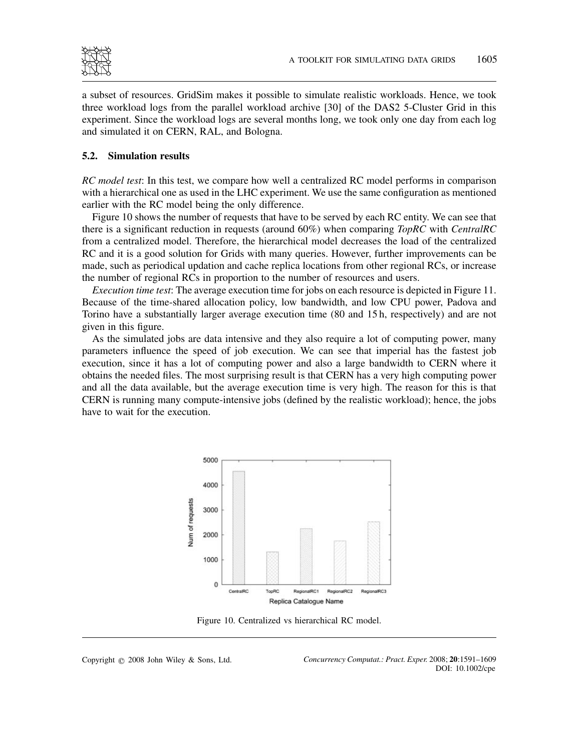

a subset of resources. GridSim makes it possible to simulate realistic workloads. Hence, we took three workload logs from the parallel workload archive [30] of the DAS2 5-Cluster Grid in this experiment. Since the workload logs are several months long, we took only one day from each log and simulated it on CERN, RAL, and Bologna.

## **5.2. Simulation results**

*RC model test*: In this test, we compare how well a centralized RC model performs in comparison with a hierarchical one as used in the LHC experiment. We use the same configuration as mentioned earlier with the RC model being the only difference.

Figure 10 shows the number of requests that have to be served by each RC entity. We can see that there is a significant reduction in requests (around 60%) when comparing *TopRC* with *CentralRC* from a centralized model. Therefore, the hierarchical model decreases the load of the centralized RC and it is a good solution for Grids with many queries. However, further improvements can be made, such as periodical updation and cache replica locations from other regional RCs, or increase the number of regional RCs in proportion to the number of resources and users.

*Execution time test*: The average execution time for jobs on each resource is depicted in Figure 11. Because of the time-shared allocation policy, low bandwidth, and low CPU power, Padova and Torino have a substantially larger average execution time (80 and 15 h, respectively) and are not given in this figure.

As the simulated jobs are data intensive and they also require a lot of computing power, many parameters influence the speed of job execution. We can see that imperial has the fastest job execution, since it has a lot of computing power and also a large bandwidth to CERN where it obtains the needed files. The most surprising result is that CERN has a very high computing power and all the data available, but the average execution time is very high. The reason for this is that CERN is running many compute-intensive jobs (defined by the realistic workload); hence, the jobs have to wait for the execution.



Figure 10. Centralized vs hierarchical RC model.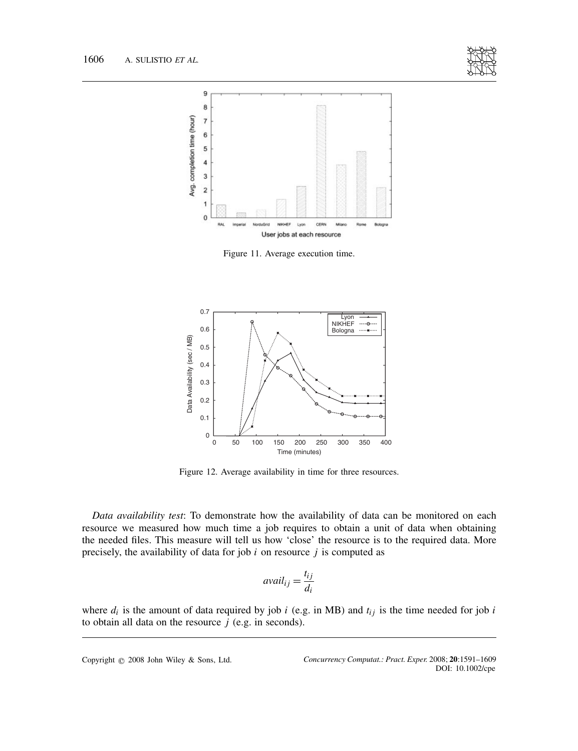



Figure 11. Average execution time.



Figure 12. Average availability in time for three resources.

*Data availability test*: To demonstrate how the availability of data can be monitored on each resource we measured how much time a job requires to obtain a unit of data when obtaining the needed files. This measure will tell us how 'close' the resource is to the required data. More precisely, the availability of data for job *i* on resource *j* is computed as

$$
avail_{ij} = \frac{t_{ij}}{d_i}
$$

where  $d_i$  is the amount of data required by job  $i$  (e.g. in MB) and  $t_{ij}$  is the time needed for job  $i$ to obtain all data on the resource *j* (e.g. in seconds).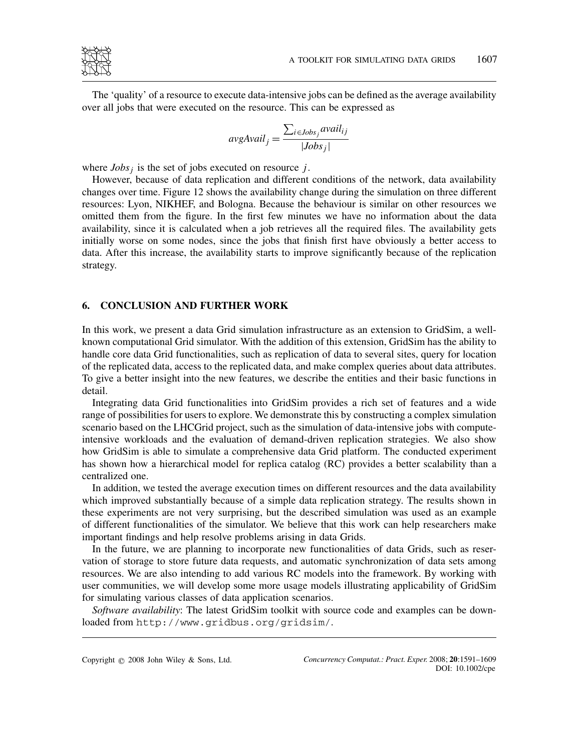

The 'quality' of a resource to execute data-intensive jobs can be defined as the average availability over all jobs that were executed on the resource. This can be expressed as

$$
avgAvailable_j = \frac{\sum_{i \in Jobs_j}avail_{ij}}{|Jobs_j|}
$$

where  $Jobs_j$  is the set of jobs executed on resource *j*.

However, because of data replication and different conditions of the network, data availability changes over time. Figure 12 shows the availability change during the simulation on three different resources: Lyon, NIKHEF, and Bologna. Because the behaviour is similar on other resources we omitted them from the figure. In the first few minutes we have no information about the data availability, since it is calculated when a job retrieves all the required files. The availability gets initially worse on some nodes, since the jobs that finish first have obviously a better access to data. After this increase, the availability starts to improve significantly because of the replication strategy.

## **6. CONCLUSION AND FURTHER WORK**

In this work, we present a data Grid simulation infrastructure as an extension to GridSim, a wellknown computational Grid simulator. With the addition of this extension, GridSim has the ability to handle core data Grid functionalities, such as replication of data to several sites, query for location of the replicated data, access to the replicated data, and make complex queries about data attributes. To give a better insight into the new features, we describe the entities and their basic functions in detail.

Integrating data Grid functionalities into GridSim provides a rich set of features and a wide range of possibilities for users to explore. We demonstrate this by constructing a complex simulation scenario based on the LHCGrid project, such as the simulation of data-intensive jobs with computeintensive workloads and the evaluation of demand-driven replication strategies. We also show how GridSim is able to simulate a comprehensive data Grid platform. The conducted experiment has shown how a hierarchical model for replica catalog (RC) provides a better scalability than a centralized one.

In addition, we tested the average execution times on different resources and the data availability which improved substantially because of a simple data replication strategy. The results shown in these experiments are not very surprising, but the described simulation was used as an example of different functionalities of the simulator. We believe that this work can help researchers make important findings and help resolve problems arising in data Grids.

In the future, we are planning to incorporate new functionalities of data Grids, such as reservation of storage to store future data requests, and automatic synchronization of data sets among resources. We are also intending to add various RC models into the framework. By working with user communities, we will develop some more usage models illustrating applicability of GridSim for simulating various classes of data application scenarios.

*Software availability*: The latest GridSim toolkit with source code and examples can be downloaded from http://www.gridbus.org/gridsim/.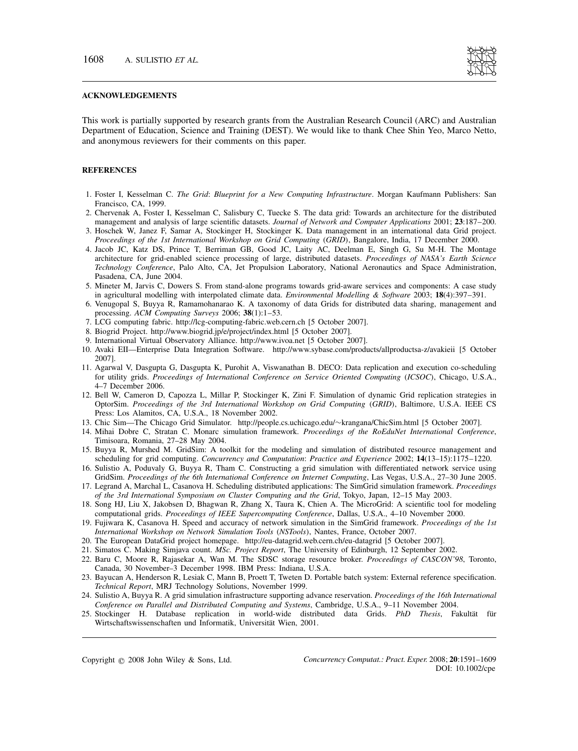#### **ACKNOWLEDGEMENTS**

This work is partially supported by research grants from the Australian Research Council (ARC) and Australian Department of Education, Science and Training (DEST). We would like to thank Chee Shin Yeo, Marco Netto, and anonymous reviewers for their comments on this paper.

#### **REFERENCES**

- 1. Foster I, Kesselman C. *The Grid*: *Blueprint for a New Computing Infrastructure*. Morgan Kaufmann Publishers: San Francisco, CA, 1999.
- 2. Chervenak A, Foster I, Kesselman C, Salisbury C, Tuecke S. The data grid: Towards an architecture for the distributed management and analysis of large scientific datasets. *Journal of Network and Computer Applications* 2001; **23**:187–200.
- 3. Hoschek W, Janez F, Samar A, Stockinger H, Stockinger K. Data management in an international data Grid project. *Proceedings of the 1st International Workshop on Grid Computing (GRID)*, Bangalore, India, 17 December 2000.
- 4. Jacob JC, Katz DS, Prince T, Berriman GB, Good JC, Laity AC, Deelman E, Singh G, Su M-H. The Montage architecture for grid-enabled science processing of large, distributed datasets. *Proceedings of NASA's Earth Science Technology Conference*, Palo Alto, CA, Jet Propulsion Laboratory, National Aeronautics and Space Administration, Pasadena, CA, June 2004.
- 5. Mineter M, Jarvis C, Dowers S. From stand-alone programs towards grid-aware services and components: A case study in agricultural modelling with interpolated climate data. *Environmental Modelling & Software* 2003; **18**(4):397–391.
- 6. Venugopal S, Buyya R, Ramamohanarao K. A taxonomy of data Grids for distributed data sharing, management and processing. *ACM Computing Surveys* 2006; **38**(1):1–53.
- 7. LCG computing fabric. http://lcg-computing-fabric.web.cern.ch [5 October 2007].
- 8. Biogrid Project. http://www.biogrid.jp/e/project/index.html [5 October 2007].
- 9. International Virtual Observatory Alliance. http://www.ivoa.net [5 October 2007].
- 10. Avaki EII—Enterprise Data Integration Software. http://www.sybase.com/products/allproductsa-z/avakieii [5 October 2007].
- 11. Agarwal V, Dasgupta G, Dasgupta K, Purohit A, Viswanathan B. DECO: Data replication and execution co-scheduling for utility grids. *Proceedings of International Conference on Service Oriented Computing (ICSOC)*, Chicago, U.S.A., 4–7 December 2006.
- 12. Bell W, Cameron D, Capozza L, Millar P, Stockinger K, Zini F. Simulation of dynamic Grid replication strategies in OptorSim. *Proceedings of the 3rd International Workshop on Grid Computing (GRID)*, Baltimore, U.S.A. IEEE CS Press: Los Alamitos, CA, U.S.A., 18 November 2002.
- 13. Chic Sim—The Chicago Grid Simulator. http://people.cs.uchicago.edu/∼krangana/ChicSim.html [5 October 2007].
- 14. Mihai Dobre C, Stratan C. Monarc simulation framework. *Proceedings of the RoEduNet International Conference*, Timisoara, Romania, 27–28 May 2004.
- 15. Buyya R, Murshed M. GridSim: A toolkit for the modeling and simulation of distributed resource management and scheduling for grid computing. *Concurrency and Computation*: *Practice and Experience* 2002; **14**(13–15):1175–1220.
- 16. Sulistio A, Poduvaly G, Buyya R, Tham C. Constructing a grid simulation with differentiated network service using GridSim. *Proceedings of the 6th International Conference on Internet Computing*, Las Vegas, U.S.A., 27–30 June 2005.
- 17. Legrand A, Marchal L, Casanova H. Scheduling distributed applications: The SimGrid simulation framework. *Proceedings of the 3rd International Symposium on Cluster Computing and the Grid*, Tokyo, Japan, 12–15 May 2003.
- 18. Song HJ, Liu X, Jakobsen D, Bhagwan R, Zhang X, Taura K, Chien A. The MicroGrid: A scientific tool for modeling computational grids. *Proceedings of IEEE Supercomputing Conference*, Dallas, U.S.A., 4–10 November 2000.
- 19. Fujiwara K, Casanova H. Speed and accuracy of network simulation in the SimGrid framework. *Proceedings of the 1st International Workshop on Network Simulation Tools (NSTools)*, Nantes, France, October 2007.
- 20. The European DataGrid project homepage. http://eu-datagrid.web.cern.ch/eu-datagrid [5 October 2007].
- 21. Simatos C. Making Simjava count. *MSc. Project Report*, The University of Edinburgh, 12 September 2002.
- 22. Baru C, Moore R, Rajasekar A, Wan M. The SDSC storage resource broker. *Proceedings of CASCON'98*, Toronto, Canada, 30 November–3 December 1998. IBM Press: Indiana, U.S.A.
- 23. Bayucan A, Henderson R, Lesiak C, Mann B, Proett T, Tweten D. Portable batch system: External reference specification. *Technical Report*, MRJ Technology Solutions, November 1999.
- 24. Sulistio A, Buyya R. A grid simulation infrastructure supporting advance reservation. *Proceedings of the 16th International Conference on Parallel and Distributed Computing and Systems*, Cambridge, U.S.A., 9–11 November 2004.
- 25. Stockinger H. Database replication in world-wide distributed data Grids. *PhD Thesis*, Fakultät für Wirtschaftswissenschaften und Informatik, Universität Wien, 2001.